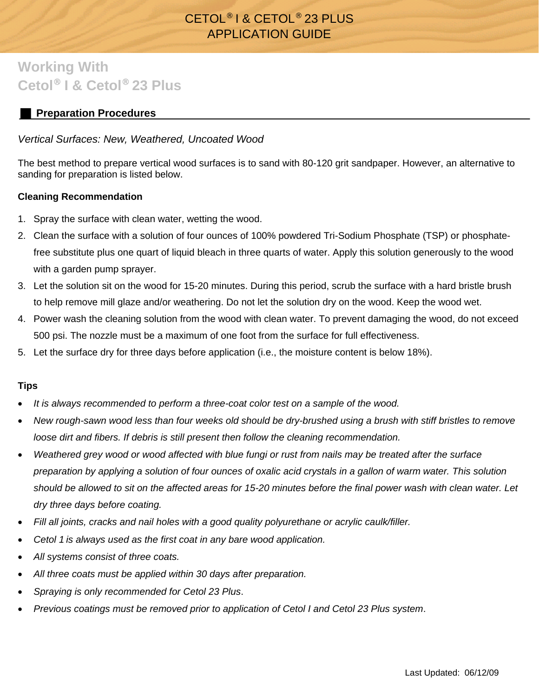## CETOL® I & CETOL® 23 PLUS APPLICATION GUIDE

# **Working With Cetol**® **I & Cetol**® **23 Plus**

### **Preparation Procedures**

#### *Vertical Surfaces: New, Weathered, Uncoated Wood*

The best method to prepare vertical wood surfaces is to sand with 80-120 grit sandpaper. However, an alternative to sanding for preparation is listed below.

#### **Cleaning Recommendation**

- 1. Spray the surface with clean water, wetting the wood.
- 2. Clean the surface with a solution of four ounces of 100% powdered Tri-Sodium Phosphate (TSP) or phosphatefree substitute plus one quart of liquid bleach in three quarts of water. Apply this solution generously to the wood with a garden pump sprayer.
- 3. Let the solution sit on the wood for 15-20 minutes. During this period, scrub the surface with a hard bristle brush to help remove mill glaze and/or weathering. Do not let the solution dry on the wood. Keep the wood wet.
- 4. Power wash the cleaning solution from the wood with clean water. To prevent damaging the wood, do not exceed 500 psi. The nozzle must be a maximum of one foot from the surface for full effectiveness.
- 5. Let the surface dry for three days before application (i.e., the moisture content is below 18%).

#### **Tips**

- *It is always recommended to perform a three-coat color test on a sample of the wood.*
- *New rough-sawn wood less than four weeks old should be dry-brushed using a brush with stiff bristles to remove loose dirt and fibers. If debris is still present then follow the cleaning recommendation.*
- *Weathered grey wood or wood affected with blue fungi or rust from nails may be treated after the surface preparation by applying a solution of four ounces of oxalic acid crystals in a gallon of warm water. This solution should be allowed to sit on the affected areas for 15-20 minutes before the final power wash with clean water. Let dry three days before coating.*
- *Fill all joints, cracks and nail holes with a good quality polyurethane or acrylic caulk/filler.*
- *Cetol 1 is always used as the first coat in any bare wood application.*
- *All systems consist of three coats.*
- *All three coats must be applied within 30 days after preparation.*
- *Spraying is only recommended for Cetol 23 Plus*.
- *Previous coatings must be removed prior to application of Cetol I and Cetol 23 Plus system*.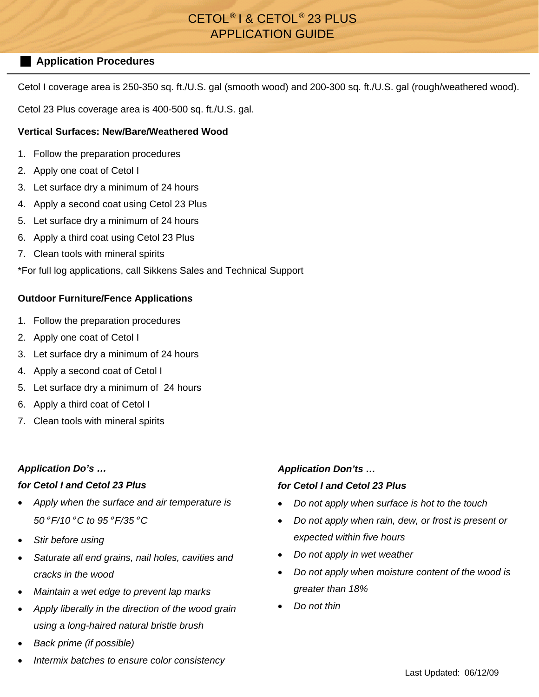## CETOL® I & CETOL® 23 PLUS APPLICATION GUIDE

#### **Application Procedures**

Cetol I coverage area is 250-350 sq. ft./U.S. gal (smooth wood) and 200-300 sq. ft./U.S. gal (rough/weathered wood).

Cetol 23 Plus coverage area is 400-500 sq. ft./U.S. gal.

#### **Vertical Surfaces: New/Bare/Weathered Wood**

- 1. Follow the preparation procedures
- 2. Apply one coat of Cetol I
- 3. Let surface dry a minimum of 24 hours
- 4. Apply a second coat using Cetol 23 Plus
- 5. Let surface dry a minimum of 24 hours
- 6. Apply a third coat using Cetol 23 Plus
- 7. Clean tools with mineral spirits

\*For full log applications, call Sikkens Sales and Technical Support

#### **Outdoor Furniture/Fence Applications**

- 1. Follow the preparation procedures
- 2. Apply one coat of Cetol I
- 3. Let surface dry a minimum of 24 hours
- 4. Apply a second coat of Cetol I
- 5. Let surface dry a minimum of 24 hours
- 6. Apply a third coat of Cetol I
- 7. Clean tools with mineral spirits

#### *Application Do's …*

#### *for Cetol I and Cetol 23 Plus*

- *Apply when the surface and air temperature is 50*° *F/10*° *C to 95*° *F/35*° *C*
- *Stir before using*
- *Saturate all end grains, nail holes, cavities and cracks in the wood*
- *Maintain a wet edge to prevent lap marks*
- *Apply liberally in the direction of the wood grain using a long-haired natural bristle brush*
- *Back prime (if possible)*

#### *Intermix batches to ensure color consistency*

#### *Application Don'ts …*

#### *for Cetol I and Cetol 23 Plus*

- *Do not apply when surface is hot to the touch*
- *Do not apply when rain, dew, or frost is present or expected within five hours*
- *Do not apply in wet weather*
- *Do not apply when moisture content of the wood is greater than 18%*
- *Do not thin*